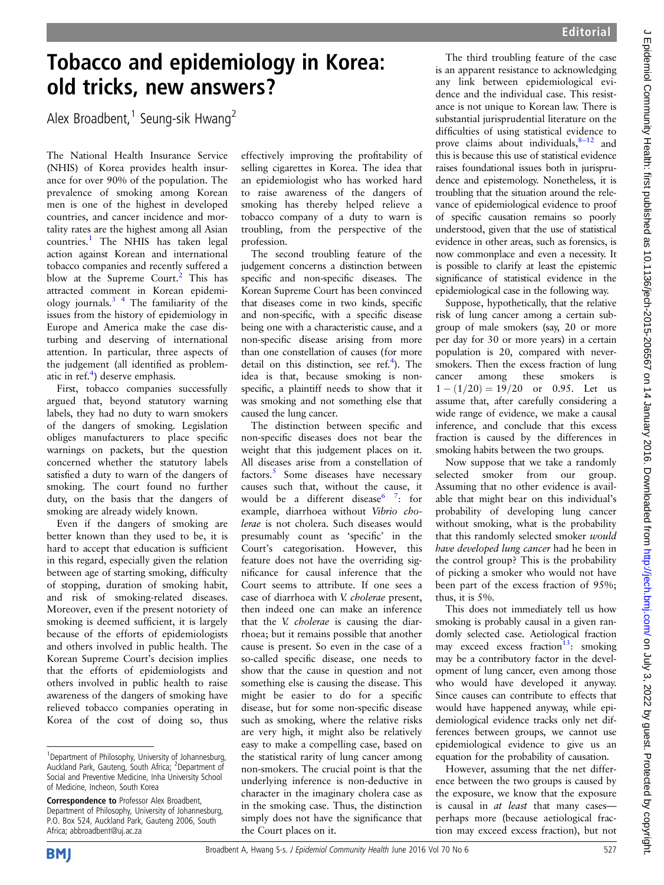## Tobacco and epidemiology in Korea: old tricks, new answers?

Alex Broadbent, $1$  Seung-sik Hwang<sup>2</sup>

The National Health Insurance Service (NHIS) of Korea provides health insurance for over 90% of the population. The prevalence of smoking among Korean men is one of the highest in developed countries, and cancer incidence and mortality rates are the highest among all Asian countries.[1](#page-1-0) The NHIS has taken legal action against Korean and international tobacco companies and recently suffered a blow at the Supreme Court.<sup>[2](#page-1-0)</sup> This has attracted comment in Korean epidemiology journals.<sup>3</sup> <sup>4</sup> The familiarity of the issues from the history of epidemiology in Europe and America make the case disturbing and deserving of international attention. In particular, three aspects of the judgement (all identified as problem-atic in ref.<sup>[4](#page-1-0)</sup>) deserve emphasis.

First, tobacco companies successfully argued that, beyond statutory warning labels, they had no duty to warn smokers of the dangers of smoking. Legislation obliges manufacturers to place specific warnings on packets, but the question concerned whether the statutory labels satisfied a duty to warn of the dangers of smoking. The court found no further duty, on the basis that the dangers of smoking are already widely known.

Even if the dangers of smoking are better known than they used to be, it is hard to accept that education is sufficient in this regard, especially given the relation between age of starting smoking, difficulty of stopping, duration of smoking habit, and risk of smoking-related diseases. Moreover, even if the present notoriety of smoking is deemed sufficient, it is largely because of the efforts of epidemiologists and others involved in public health. The Korean Supreme Court's decision implies that the efforts of epidemiologists and others involved in public health to raise awareness of the dangers of smoking have relieved tobacco companies operating in Korea of the cost of doing so, thus

effectively improving the profitability of selling cigarettes in Korea. The idea that an epidemiologist who has worked hard to raise awareness of the dangers of smoking has thereby helped relieve a tobacco company of a duty to warn is troubling, from the perspective of the profession.

The second troubling feature of the judgement concerns a distinction between specific and non-specific diseases. The Korean Supreme Court has been convinced that diseases come in two kinds, specific and non-specific, with a specific disease being one with a characteristic cause, and a non-specific disease arising from more than one constellation of causes (for more detail on this distinction, see ref.<sup>4</sup>). The idea is that, because smoking is nonspecific, a plaintiff needs to show that it was smoking and not something else that caused the lung cancer.

The distinction between specific and non-specific diseases does not bear the weight that this judgement places on it. All diseases arise from a constellation of factors.<sup>[5](#page-1-0)</sup> Some diseases have necessary causes such that, without the cause, it would be a different disease  $\frac{6}{7}$ : for example, diarrhoea without Vibrio cholerae is not cholera. Such diseases would presumably count as 'specific' in the Court's categorisation. However, this feature does not have the overriding significance for causal inference that the Court seems to attribute. If one sees a case of diarrhoea with V. cholerae present, then indeed one can make an inference that the V. cholerae is causing the diarrhoea; but it remains possible that another cause is present. So even in the case of a so-called specific disease, one needs to show that the cause in question and not something else is causing the disease. This might be easier to do for a specific disease, but for some non-specific disease such as smoking, where the relative risks are very high, it might also be relatively easy to make a compelling case, based on the statistical rarity of lung cancer among non-smokers. The crucial point is that the underlying inference is non-deductive in character in the imaginary cholera case as in the smoking case. Thus, the distinction simply does not have the significance that the Court places on it.

The third troubling feature of the case is an apparent resistance to acknowledging any link between epidemiological evidence and the individual case. This resistance is not unique to Korean law. There is substantial jurisprudential literature on the difficulties of using statistical evidence to prove claims about individuals, $8-12$  $8-12$  and this is because this use of statistical evidence raises foundational issues both in jurisprudence and epistemology. Nonetheless, it is troubling that the situation around the relevance of epidemiological evidence to proof of specific causation remains so poorly understood, given that the use of statistical evidence in other areas, such as forensics, is now commonplace and even a necessity. It is possible to clarify at least the epistemic significance of statistical evidence in the epidemiological case in the following way.

Suppose, hypothetically, that the relative risk of lung cancer among a certain subgroup of male smokers (say, 20 or more per day for 30 or more years) in a certain population is 20, compared with neversmokers. Then the excess fraction of lung cancer among these smokers is  $1 - (1/20) = 19/20$  or 0.95. Let us assume that, after carefully considering a wide range of evidence, we make a causal inference, and conclude that this excess fraction is caused by the differences in smoking habits between the two groups.

Now suppose that we take a randomly selected smoker from our group. Assuming that no other evidence is available that might bear on this individual's probability of developing lung cancer without smoking, what is the probability that this randomly selected smoker would have developed lung cancer had he been in the control group? This is the probability of picking a smoker who would not have been part of the excess fraction of 95%; thus, it is 5%.

This does not immediately tell us how smoking is probably causal in a given randomly selected case. Aetiological fraction may exceed excess fraction<sup>13</sup>: smoking may be a contributory factor in the development of lung cancer, even among those who would have developed it anyway. Since causes can contribute to effects that would have happened anyway, while epidemiological evidence tracks only net differences between groups, we cannot use epidemiological evidence to give us an equation for the probability of causation.

However, assuming that the net difference between the two groups is caused by the exposure, we know that the exposure is causal in at least that many cases perhaps more (because aetiological fraction may exceed excess fraction), but not



<sup>&</sup>lt;sup>1</sup>Department of Philosophy, University of Johannesburg, Auckland Park, Gauteng, South Africa; <sup>2</sup>Department of Social and Preventive Medicine, Inha University School of Medicine, Incheon, South Korea

Correspondence to Professor Alex Broadbent, Department of Philosophy, University of Johannesburg, P.O. Box 524, Auckland Park, Gauteng 2006, South Africa; abbroadbent@uj.ac.za